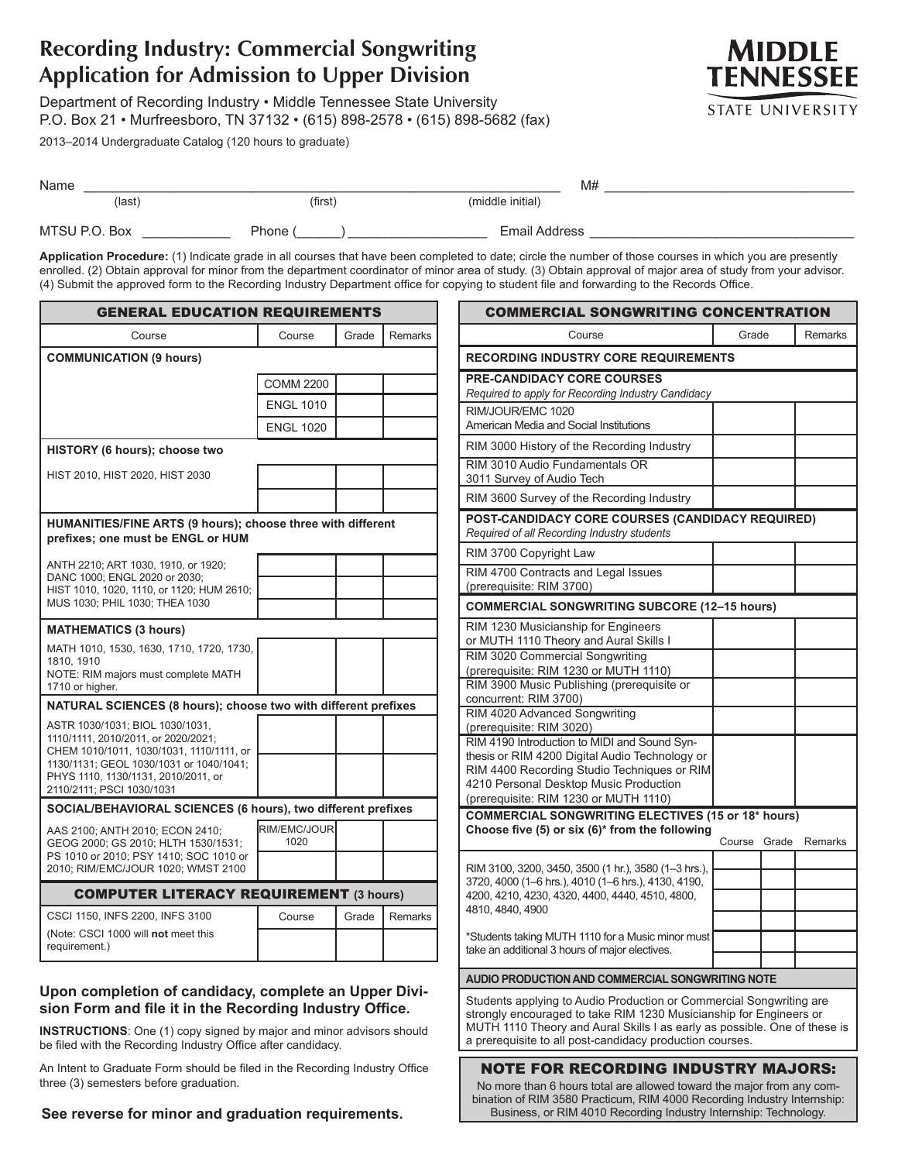# **Recording Industry: Commercial Songwriting Application for Admission to Upper Division**

Department of Recording Industry • Middle Tennessee State University P.O. Box 21 • Murfreesboro, TN 37132 • (615) 898-2578 • (615) 898-5682 (fax)

2013–2014 Undergraduate Catalog (120 hours to graduate)



| Name          |         | M#               |  |
|---------------|---------|------------------|--|
| $$            | (first) | (middle initial) |  |
| MTSU P.O. Box | Phone ( | Email Address    |  |

**Application Procedure:** (1) Indicate grade in all courses that have been completed to date; circle the number of those courses in which you are presently enrolled. (2) Obtain approval for minor from the department coordinator of minor area of study. (3) Obtain approval of major area of study from your advisor. (4) Submit the approved form to the Recording Industry Department office for copying to student file and forwarding to the Records Office.

| <b>GENERAL EDUCATION REQUIREMENTS</b>                                                            |                      |       |         |
|--------------------------------------------------------------------------------------------------|----------------------|-------|---------|
| Course                                                                                           | Course               | Grade | Remarks |
| <b>COMMUNICATION (9 hours)</b>                                                                   |                      |       |         |
|                                                                                                  | COMM 2200            |       |         |
|                                                                                                  | <b>ENGL 1010</b>     |       |         |
|                                                                                                  | <b>ENGL 1020</b>     |       |         |
| HISTORY (6 hours); choose two                                                                    |                      |       |         |
| HIST 2010, HIST 2020, HIST 2030                                                                  |                      |       |         |
|                                                                                                  |                      |       |         |
| HUMANITIES/FINE ARTS (9 hours); choose three with different<br>prefixes; one must be ENGL or HUM |                      |       |         |
| ANTH 2210; ART 1030, 1910, or 1920;                                                              |                      |       |         |
| DANC 1000; ENGL 2020 or 2030;<br>HIST 1010, 1020, 1110, or 1120; HUM 2610;                       |                      |       |         |
| MUS 1030; PHIL 1030; THEA 1030                                                                   |                      |       |         |
| <b>MATHEMATICS (3 hours)</b>                                                                     |                      |       |         |
| MATH 1010, 1530, 1630, 1710, 1720, 1730,<br>1810, 1910                                           |                      |       |         |
| NOTE: RIM majors must complete MATH                                                              |                      |       |         |
| 1710 or higher.<br>NATURAL SCIENCES (8 hours); choose two with different prefixes                |                      |       |         |
| ASTR 1030/1031; BIOL 1030/1031,                                                                  |                      |       |         |
| 1110/1111, 2010/2011, or 2020/2021;<br>CHEM 1010/1011, 1030/1031, 1110/1111, or                  |                      |       |         |
| 1130/1131; GEOL 1030/1031 or 1040/1041;<br>PHYS 1110, 1130/1131, 2010/2011, or                   |                      |       |         |
| 2110/2111; PSCI 1030/1031                                                                        |                      |       |         |
| SOCIAL/BEHAVIORAL SCIENCES (6 hours), two different prefixes                                     |                      |       |         |
| AAS 2100; ANTH 2010; ECON 2410;<br>GEOG 2000; GS 2010; HLTH 1530/1531;                           | RIM/EMC/JOUR<br>1020 |       |         |
| PS 1010 or 2010; PSY 1410; SOC 1010 or                                                           |                      |       |         |
| 2010; RIM/EMC/JOUR 1020; WMST 2100                                                               |                      |       |         |
| <b>COMPUTER LITERACY REQUIREMENT (3 hours)</b>                                                   |                      |       |         |
| CSCI 1150, INFS 2200, INFS 3100<br>(Note: CSCI 1000 will not meet this                           | Course               | Grade | Remarks |
| requirement.)                                                                                    |                      |       |         |

## **Upon completion of candidacy, complete an Upper Division Form and file it in the Recording Industry Office.**

**INSTRUCTIONS**: One (1) copy signed by major and minor advisors should be filed with the Recording Industry Office after candidacy.

An Intent to Graduate Form should be filed in the Recording Industry Office three (3) semesters before graduation.

**See reverse for minor and graduation requirements.**

| <b>COMMERCIAL SONGWRITING CONCENTRATION</b>                                                                                                                                                                                                                                        |        |       |         |
|------------------------------------------------------------------------------------------------------------------------------------------------------------------------------------------------------------------------------------------------------------------------------------|--------|-------|---------|
| Course                                                                                                                                                                                                                                                                             | Grade  |       | Remarks |
| <b>RECORDING INDUSTRY CORE REQUIREMENTS</b>                                                                                                                                                                                                                                        |        |       |         |
| <b>PRE-CANDIDACY CORE COURSES</b><br>Required to apply for Recording Industry Candidacy                                                                                                                                                                                            |        |       |         |
| RIM/JOUR/EMC 1020<br>American Media and Social Institutions                                                                                                                                                                                                                        |        |       |         |
| RIM 3000 History of the Recording Industry                                                                                                                                                                                                                                         |        |       |         |
| RIM 3010 Audio Fundamentals OR<br>3011 Survey of Audio Tech                                                                                                                                                                                                                        |        |       |         |
| RIM 3600 Survey of the Recording Industry                                                                                                                                                                                                                                          |        |       |         |
| POST-CANDIDACY CORE COURSES (CANDIDACY REQUIRED)<br>Required of all Recording Industry students                                                                                                                                                                                    |        |       |         |
| RIM 3700 Copyright Law                                                                                                                                                                                                                                                             |        |       |         |
| RIM 4700 Contracts and Legal Issues<br>(prerequisite: RIM 3700)                                                                                                                                                                                                                    |        |       |         |
| <b>COMMERCIAL SONGWRITING SUBCORE (12-15 hours)</b>                                                                                                                                                                                                                                |        |       |         |
| RIM 1230 Musicianship for Engineers<br>or MUTH 1110 Theory and Aural Skills I                                                                                                                                                                                                      |        |       |         |
| RIM 3020 Commercial Songwriting                                                                                                                                                                                                                                                    |        |       |         |
| (prerequisite: RIM 1230 or MUTH 1110)                                                                                                                                                                                                                                              |        |       |         |
| RIM 3900 Music Publishing (prerequisite or<br>concurrent: RIM 3700)                                                                                                                                                                                                                |        |       |         |
| RIM 4020 Advanced Songwriting                                                                                                                                                                                                                                                      |        |       |         |
| (prerequisite: RIM 3020)<br>RIM 4190 Introduction to MIDI and Sound Syn-                                                                                                                                                                                                           |        |       |         |
| thesis or RIM 4200 Digital Audio Technology or                                                                                                                                                                                                                                     |        |       |         |
| RIM 4400 Recording Studio Techniques or RIM                                                                                                                                                                                                                                        |        |       |         |
| 4210 Personal Desktop Music Production<br>(prerequisite: RIM 1230 or MUTH 1110)                                                                                                                                                                                                    |        |       |         |
| <b>COMMERCIAL SONGWRITING ELECTIVES (15 or 18* hours)</b>                                                                                                                                                                                                                          |        |       |         |
| Choose five (5) or six (6)* from the following                                                                                                                                                                                                                                     |        | Grade | Remarks |
|                                                                                                                                                                                                                                                                                    | Course |       |         |
| RIM 3100, 3200, 3450, 3500 (1 hr.), 3580 (1-3 hrs.),                                                                                                                                                                                                                               |        |       |         |
| 3720, 4000 (1-6 hrs.), 4010 (1-6 hrs.), 4130, 4190,<br>4200, 4210, 4230, 4320, 4400, 4440, 4510, 4800,                                                                                                                                                                             |        |       |         |
| 4810, 4840, 4900                                                                                                                                                                                                                                                                   |        |       |         |
| *Students taking MUTH 1110 for a Music minor must                                                                                                                                                                                                                                  |        |       |         |
| take an additional 3 hours of major electives.                                                                                                                                                                                                                                     |        |       |         |
| AUDIO PRODUCTION AND COMMERCIAL SONGWRITING NOTE                                                                                                                                                                                                                                   |        |       |         |
| Students applying to Audio Production or Commercial Songwriting are<br>strongly encouraged to take RIM 1230 Musicianship for Engineers or<br>MUTH 1110 Theory and Aural Skills I as early as possible. One of these is<br>a prerequisite to all post-candidacy production courses. |        |       |         |
| <b>NOTE FOR RECORDING INDUSTRY MAJORS:</b><br>No more than 6 hours total are allowed toward the major from any com-                                                                                                                                                                |        |       |         |

bination of RIM 3580 Practicum, RIM 4000 Recording Industry Internship: Business, or RIM 4010 Recording Industry Internship: Technology.